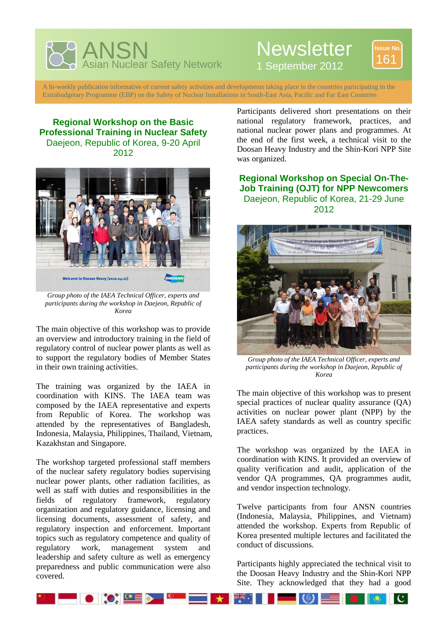

## **Newsletter**



1 September 2012

A bi-weekly publication informative of current safety activities and developments taking place in the countries participating in the Extrabudgetary Programme (EBP) on the Safety of Nuclear Installations in South-East Asia, Pacific and Far East Countries

**Regional Workshop on the Basic Professional Training in Nuclear Safety**  Daejeon, Republic of Korea, 9-20 April 2012



*Group photo of the IAEA Technical Officer, experts and participants during the workshop in Daejeon, Republic of Korea* 

The main objective of this workshop was to provide an overview and introductory training in the field of regulatory control of nuclear power plants as well as to support the regulatory bodies of Member States in their own training activities.

The training was organized by the IAEA in coordination with KINS. The IAEA team was composed by the IAEA representative and experts from Republic of Korea. The workshop was attended by the representatives of Bangladesh, Indonesia, Malaysia, Philippines, Thailand, Vietnam, Kazakhstan and Singapore.

The workshop targeted professional staff members of the nuclear safety regulatory bodies supervising nuclear power plants, other radiation facilities, as well as staff with duties and responsibilities in the fields of regulatory framework, regulatory organization and regulatory guidance, licensing and licensing documents, assessment of safety, and regulatory inspection and enforcement. Important topics such as regulatory competence and quality of regulatory work, management system and leadership and safety culture as well as emergency preparedness and public communication were also covered.

Participants delivered short presentations on their national regulatory framework, practices, and national nuclear power plans and programmes. At the end of the first week, a technical visit to the Doosan Heavy Industry and the Shin-Kori NPP Site was organized.

**Regional Workshop on Special On-The-Job Training (OJT) for NPP Newcomers**  Daejeon, Republic of Korea, 21-29 June 2012



*Group photo of the IAEA Technical Officer, experts and participants during the workshop in Daejeon, Republic of Korea* 

The main objective of this workshop was to present special practices of nuclear quality assurance (QA) activities on nuclear power plant (NPP) by the IAEA safety standards as well as country specific practices.

The workshop was organized by the IAEA in coordination with KINS. It provided an overview of quality verification and audit, application of the vendor QA programmes, QA programmes audit, and vendor inspection technology.

Twelve participants from four ANSN countries (Indonesia, Malaysia, Philippines, and Vietnam) attended the workshop. Experts from Republic of Korea presented multiple lectures and facilitated the conduct of discussions.

Participants highly appreciated the technical visit to the Doosan Heavy Industry and the Shin-Kori NPP Site. They acknowledged that they had a good